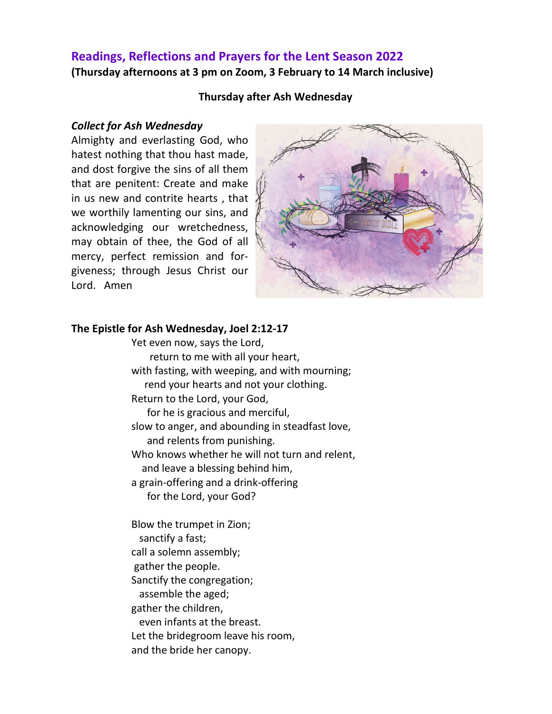## **Readings, Reflections and Prayers for the Lent Season 2022 (Thursday afternoons at 3 pm on Zoom, 3 February to 14 March inclusive)**

#### **Thursday after Ash Wednesday**

#### *Collect for Ash Wednesday*

Almighty and everlasting God, who hatest nothing that thou hast made, and dost forgive the sins of all them that are penitent: Create and make in us new and contrite hearts , that we worthily lamenting our sins, and acknowledging our wretchedness, may obtain of thee, the God of all mercy, perfect remission and forgiveness; through Jesus Christ our Lord. Amen



#### **The Epistle for Ash Wednesday, Joel 2:12-17**

Yet even now, says the Lord, return to me with all your heart, with fasting, with weeping, and with mourning; rend your hearts and not your clothing. Return to the Lord, your God, for he is gracious and merciful, slow to anger, and abounding in steadfast love, and relents from punishing. Who knows whether he will not turn and relent, and leave a blessing behind him, a grain-offering and a drink-offering for the Lord, your God?

Blow the trumpet in Zion; sanctify a fast; call a solemn assembly; gather the people. Sanctify the congregation; assemble the aged; gather the children, even infants at the breast. Let the bridegroom leave his room, and the bride her canopy.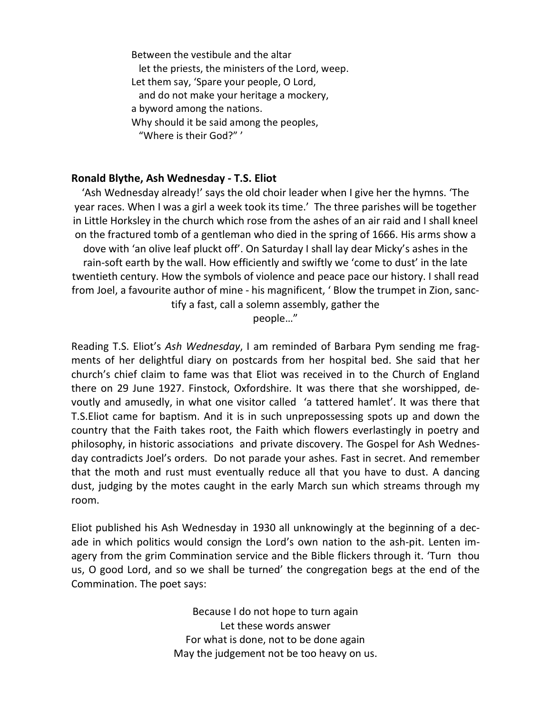Between the vestibule and the altar let the priests, the ministers of the Lord, weep. Let them say, 'Spare your people, O Lord, and do not make your heritage a mockery, a byword among the nations. Why should it be said among the peoples, "Where is their God?" '

### **Ronald Blythe, Ash Wednesday - T.S. Eliot**

'Ash Wednesday already!' says the old choir leader when I give her the hymns. 'The year races. When I was a girl a week took its time.' The three parishes will be together in Little Horksley in the church which rose from the ashes of an air raid and I shall kneel on the fractured tomb of a gentleman who died in the spring of 1666. His arms show a dove with 'an olive leaf pluckt off'. On Saturday I shall lay dear Micky's ashes in the rain-soft earth by the wall. How efficiently and swiftly we 'come to dust' in the late twentieth century. How the symbols of violence and peace pace our history. I shall read from Joel, a favourite author of mine - his magnificent, ' Blow the trumpet in Zion, sanctify a fast, call a solemn assembly, gather the people…"

Reading T.S. Eliot's *Ash Wednesday*, I am reminded of Barbara Pym sending me fragments of her delightful diary on postcards from her hospital bed. She said that her church's chief claim to fame was that Eliot was received in to the Church of England there on 29 June 1927. Finstock, Oxfordshire. It was there that she worshipped, devoutly and amusedly, in what one visitor called 'a tattered hamlet'. It was there that T.S.Eliot came for baptism. And it is in such unprepossessing spots up and down the country that the Faith takes root, the Faith which flowers everlastingly in poetry and philosophy, in historic associations and private discovery. The Gospel for Ash Wednesday contradicts Joel's orders. Do not parade your ashes. Fast in secret. And remember that the moth and rust must eventually reduce all that you have to dust. A dancing dust, judging by the motes caught in the early March sun which streams through my room.

Eliot published his Ash Wednesday in 1930 all unknowingly at the beginning of a decade in which politics would consign the Lord's own nation to the ash-pit. Lenten imagery from the grim Commination service and the Bible flickers through it. 'Turn thou us, O good Lord, and so we shall be turned' the congregation begs at the end of the Commination. The poet says:

> Because I do not hope to turn again Let these words answer For what is done, not to be done again May the judgement not be too heavy on us.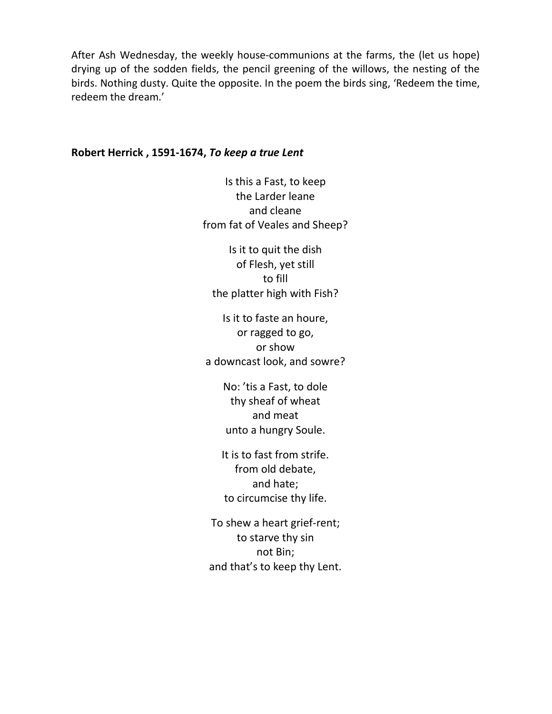After Ash Wednesday, the weekly house-communions at the farms, the (let us hope) drying up of the sodden fields, the pencil greening of the willows, the nesting of the birds. Nothing dusty. Quite the opposite. In the poem the birds sing, 'Redeem the time, redeem the dream.'

#### **Robert Herrick , 1591-1674,** *To keep a true Lent*

Is this a Fast, to keep the Larder leane and cleane from fat of Veales and Sheep?

Is it to quit the dish of Flesh, yet still to fill the platter high with Fish?

Is it to faste an houre, or ragged to go, or show a downcast look, and sowre?

> No: 'tis a Fast, to dole thy sheaf of wheat and meat unto a hungry Soule.

It is to fast from strife. from old debate, and hate; to circumcise thy life.

To shew a heart grief-rent; to starve thy sin not Bin; and that's to keep thy Lent.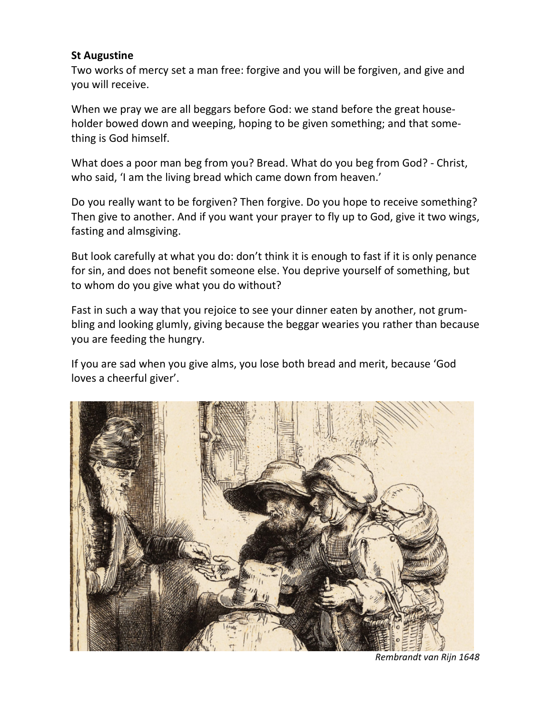### **St Augustine**

Two works of mercy set a man free: forgive and you will be forgiven, and give and you will receive.

When we pray we are all beggars before God: we stand before the great householder bowed down and weeping, hoping to be given something; and that something is God himself.

What does a poor man beg from you? Bread. What do you beg from God? - Christ, who said, 'I am the living bread which came down from heaven.'

Do you really want to be forgiven? Then forgive. Do you hope to receive something? Then give to another. And if you want your prayer to fly up to God, give it two wings, fasting and almsgiving.

But look carefully at what you do: don't think it is enough to fast if it is only penance for sin, and does not benefit someone else. You deprive yourself of something, but to whom do you give what you do without?

Fast in such a way that you rejoice to see your dinner eaten by another, not grumbling and looking glumly, giving because the beggar wearies you rather than because you are feeding the hungry.

If you are sad when you give alms, you lose both bread and merit, because 'God loves a cheerful giver'.



*Rembrandt van Rijn 1648*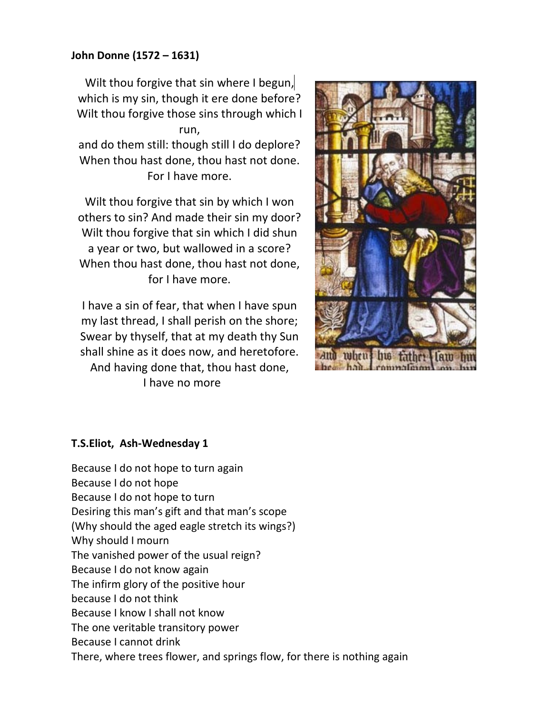## **John Donne (1572 – 1631)**

Wilt thou forgive that sin where I begun, which is my sin, though it ere done before? Wilt thou forgive those sins through which I run,

and do them still: though still I do deplore? When thou hast done, thou hast not done. For I have more.

Wilt thou forgive that sin by which I won others to sin? And made their sin my door? Wilt thou forgive that sin which I did shun a year or two, but wallowed in a score? When thou hast done, thou hast not done, for I have more.

I have a sin of fear, that when I have spun my last thread, I shall perish on the shore; Swear by thyself, that at my death thy Sun shall shine as it does now, and heretofore. And having done that, thou hast done, I have no more



### **T.S.Eliot, Ash-Wednesday 1**

Because I do not hope to turn again Because I do not hope Because I do not hope to turn Desiring this man's gift and that man's scope (Why should the aged eagle stretch its wings?) Why should I mourn The vanished power of the usual reign? Because I do not know again The infirm glory of the positive hour because I do not think Because I know I shall not know The one veritable transitory power Because I cannot drink There, where trees flower, and springs flow, for there is nothing again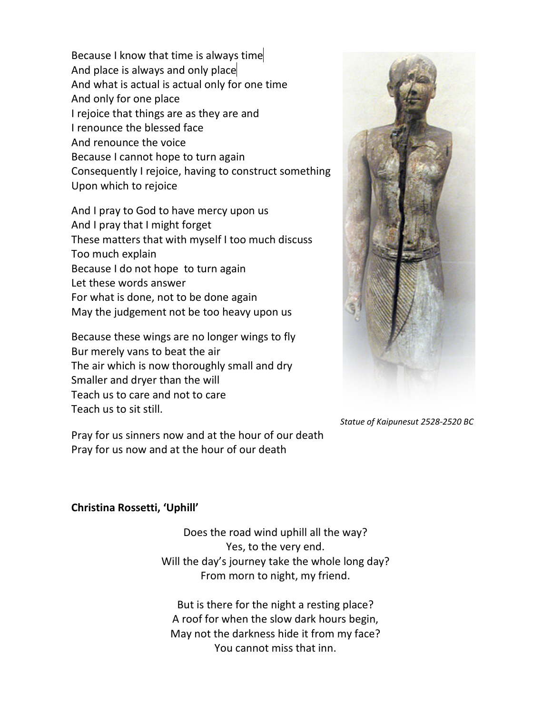Because I know that time is always time And place is always and only place And what is actual is actual only for one time And only for one place I rejoice that things are as they are and I renounce the blessed face And renounce the voice Because I cannot hope to turn again Consequently I rejoice, having to construct something Upon which to rejoice

And I pray to God to have mercy upon us And I pray that I might forget These matters that with myself I too much discuss Too much explain Because I do not hope to turn again Let these words answer For what is done, not to be done again May the judgement not be too heavy upon us

Because these wings are no longer wings to fly Bur merely vans to beat the air The air which is now thoroughly small and dry Smaller and dryer than the will Teach us to care and not to care Teach us to sit still.

Pray for us sinners now and at the hour of our death Pray for us now and at the hour of our death



*Statue of Kaipunesut 2528-2520 BC* 

#### **Christina Rossetti, 'Uphill'**

Does the road wind uphill all the way? Yes, to the very end. Will the day's journey take the whole long day? From morn to night, my friend.

But is there for the night a resting place? A roof for when the slow dark hours begin, May not the darkness hide it from my face? You cannot miss that inn.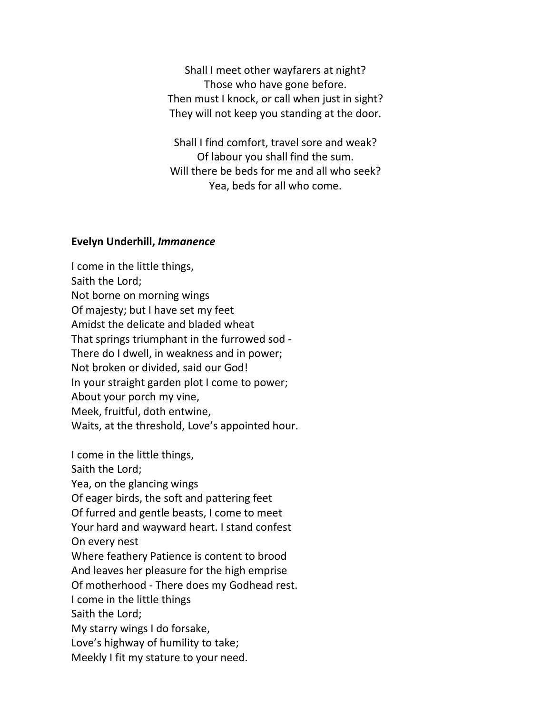Shall I meet other wayfarers at night? Those who have gone before. Then must I knock, or call when just in sight? They will not keep you standing at the door.

Shall I find comfort, travel sore and weak? Of labour you shall find the sum. Will there be beds for me and all who seek? Yea, beds for all who come.

### **Evelyn Underhill,** *Immanence*

I come in the little things, Saith the Lord; Not borne on morning wings Of majesty; but I have set my feet Amidst the delicate and bladed wheat That springs triumphant in the furrowed sod - There do I dwell, in weakness and in power; Not broken or divided, said our God! In your straight garden plot I come to power; About your porch my vine, Meek, fruitful, doth entwine, Waits, at the threshold, Love's appointed hour.

I come in the little things, Saith the Lord; Yea, on the glancing wings Of eager birds, the soft and pattering feet Of furred and gentle beasts, I come to meet Your hard and wayward heart. I stand confest On every nest Where feathery Patience is content to brood And leaves her pleasure for the high emprise Of motherhood - There does my Godhead rest. I come in the little things Saith the Lord; My starry wings I do forsake, Love's highway of humility to take; Meekly I fit my stature to your need.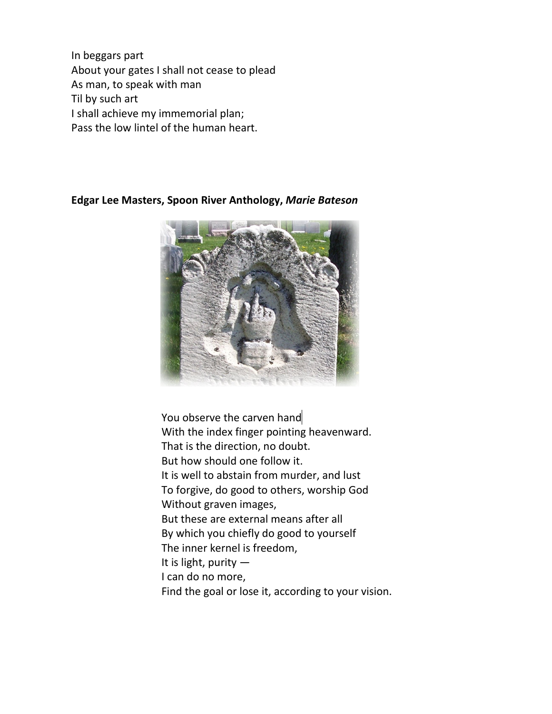In beggars part About your gates I shall not cease to plead As man, to speak with man Til by such art I shall achieve my immemorial plan; Pass the low lintel of the human heart.

**Edgar Lee Masters, Spoon River Anthology,** *Marie Bateson*



You observe the carven hand With the index finger pointing heavenward. That is the direction, no doubt. But how should one follow it. It is well to abstain from murder, and lust To forgive, do good to others, worship God Without graven images, But these are external means after all By which you chiefly do good to yourself The inner kernel is freedom, It is light, purity — I can do no more, Find the goal or lose it, according to your vision.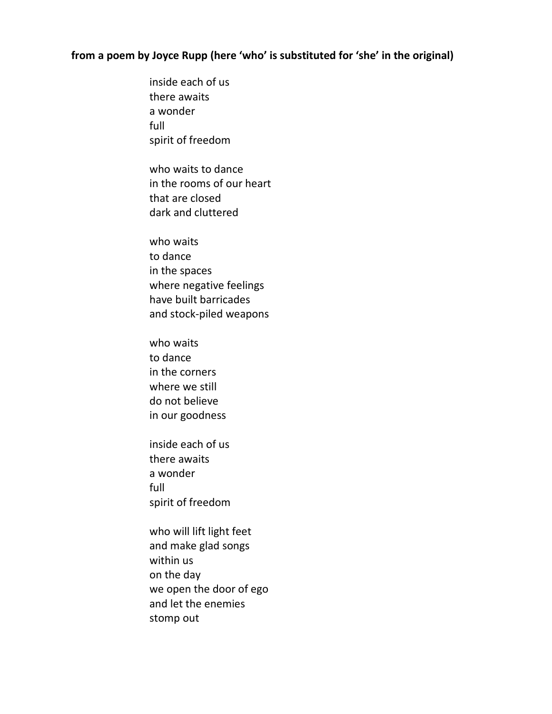# **from a poem by Joyce Rupp (here 'who' is substituted for 'she' in the original)**

inside each of us there awaits a wonder full spirit of freedom who waits to dance in the rooms of our heart that are closed dark and cluttered who waits to dance in the spaces where negative feelings have built barricades and stock-piled weapons who waits to dance in the corners where we still do not believe in our goodness inside each of us there awaits a wonder full spirit of freedom who will lift light feet and make glad songs within us on the day we open the door of ego and let the enemies stomp out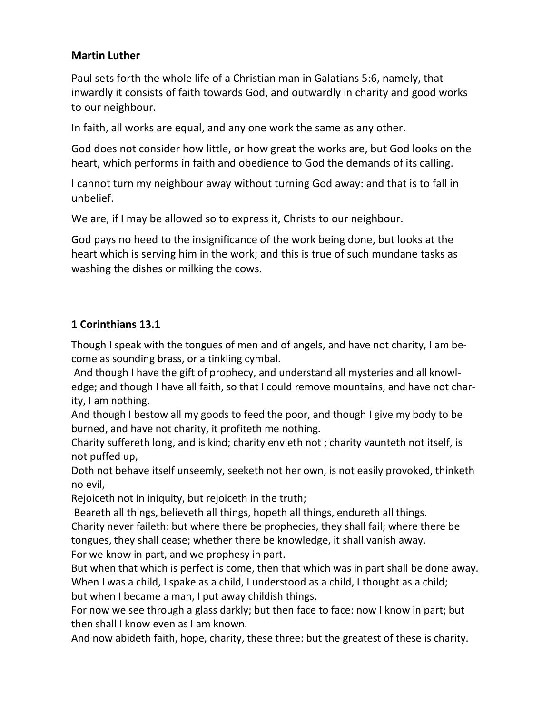## **Martin Luther**

Paul sets forth the whole life of a Christian man in Galatians 5:6, namely, that inwardly it consists of faith towards God, and outwardly in charity and good works to our neighbour.

In faith, all works are equal, and any one work the same as any other.

God does not consider how little, or how great the works are, but God looks on the heart, which performs in faith and obedience to God the demands of its calling.

I cannot turn my neighbour away without turning God away: and that is to fall in unbelief.

We are, if I may be allowed so to express it, Christs to our neighbour.

God pays no heed to the insignificance of the work being done, but looks at the heart which is serving him in the work; and this is true of such mundane tasks as washing the dishes or milking the cows.

# **1 Corinthians 13.1**

Though I speak with the tongues of men and of angels, and have not charity, I am become as sounding brass, or a tinkling cymbal.

 And though I have the gift of prophecy, and understand all mysteries and all knowledge; and though I have all faith, so that I could remove mountains, and have not charity, I am nothing.

And though I bestow all my goods to feed the poor, and though I give my body to be burned, and have not charity, it profiteth me nothing.

Charity suffereth long, and is kind; charity envieth not ; charity vaunteth not itself, is not puffed up,

Doth not behave itself unseemly, seeketh not her own, is not easily provoked, thinketh no evil,

Rejoiceth not in iniquity, but rejoiceth in the truth;

 Beareth all things, believeth all things, hopeth all things, endureth all things. Charity never faileth: but where there be prophecies, they shall fail; where there be tongues, they shall cease; whether there be knowledge, it shall vanish away. For we know in part, and we prophesy in part.

But when that which is perfect is come, then that which was in part shall be done away. When I was a child, I spake as a child, I understood as a child, I thought as a child; but when I became a man, I put away childish things.

For now we see through a glass darkly; but then face to face: now I know in part; but then shall I know even as I am known.

And now abideth faith, hope, charity, these three: but the greatest of these is charity.